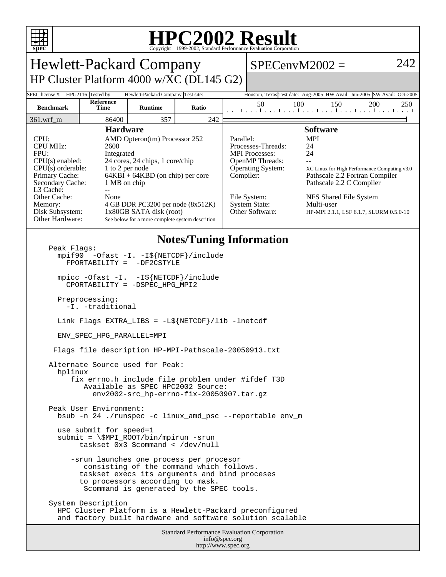

## **HPC2002 Result**

| <b>Hewlett-Packard Company</b>                                                                                                                                                                                        |                                                                                                                                                                                                                                                                                                                                                         |                       |              |  |                                                                                                                                                                                                                                                                                                                                                                                                            |                 |     |     | 242 |
|-----------------------------------------------------------------------------------------------------------------------------------------------------------------------------------------------------------------------|---------------------------------------------------------------------------------------------------------------------------------------------------------------------------------------------------------------------------------------------------------------------------------------------------------------------------------------------------------|-----------------------|--------------|--|------------------------------------------------------------------------------------------------------------------------------------------------------------------------------------------------------------------------------------------------------------------------------------------------------------------------------------------------------------------------------------------------------------|-----------------|-----|-----|-----|
| $SPECenvM2002 =$<br>HP Cluster Platform 4000 w/XC (DL145 G2)                                                                                                                                                          |                                                                                                                                                                                                                                                                                                                                                         |                       |              |  |                                                                                                                                                                                                                                                                                                                                                                                                            |                 |     |     |     |
| SPEC license #: HPG2116 Tested by:<br>Hewlett-Packard Company Test site:<br>Houston, Texas Test date: Aug-2005 HW Avail: Jun-2005 SW Avail: Oct-2005                                                                  |                                                                                                                                                                                                                                                                                                                                                         |                       |              |  |                                                                                                                                                                                                                                                                                                                                                                                                            |                 |     |     |     |
| <b>Benchmark</b>                                                                                                                                                                                                      | Reference                                                                                                                                                                                                                                                                                                                                               |                       |              |  | 50                                                                                                                                                                                                                                                                                                                                                                                                         | 100             | 150 | 200 | 250 |
| 361.wrf_m                                                                                                                                                                                                             | Time<br>86400                                                                                                                                                                                                                                                                                                                                           | <b>Runtime</b><br>357 | Ratio<br>242 |  | المتطاعين المتماعين المتماعين المتماعين المت                                                                                                                                                                                                                                                                                                                                                               |                 |     |     |     |
| <b>Hardware</b>                                                                                                                                                                                                       |                                                                                                                                                                                                                                                                                                                                                         |                       |              |  |                                                                                                                                                                                                                                                                                                                                                                                                            | <b>Software</b> |     |     |     |
| CPU:<br><b>CPU MHz:</b><br>FPU:<br>CPU(s) enabled:<br>Primary Cache:<br>L3 Cache:<br>Other Cache:<br>Memory:<br>Disk Subsystem:<br>Other Hardware:                                                                    | AMD Opteron(tm) Processor 252<br>2600<br>Integrated<br>24 cores, 24 chips, 1 core/chip<br>$CPU(s)$ orderable:<br>1 to 2 per node<br>$64KBI + 64KBD$ (on chip) per core<br>Secondary Cache:<br>1 MB on chip<br>$\overline{a}$<br>None<br>4 GB DDR PC3200 per node (8x512K)<br>1x80GB SATA disk (root)<br>See below for a more complete system descrition |                       |              |  | <b>MPI</b><br>Parallel:<br>Processes-Threads:<br>24<br>24<br><b>MPI</b> Processes:<br><b>OpenMP</b> Threads:<br>Operating System:<br>XC Linux for High Performance Computing v3.0<br>Compiler:<br>Pathscale 2.2 Fortran Compiler<br>Pathscale 2.2 C Compiler<br>File System:<br>NFS Shared File System<br><b>System State:</b><br>Multi-user<br>Other Software:<br>HP-MPI 2.1.1, LSF 6.1.7, SLURM 0.5.0-10 |                 |     |     |     |
| <b>Notes/Tuning Information</b><br>Peak Flags:<br>mpif90 -Ofast -I. -I\${NETCDF}/include<br>$FPORTABILITY =$<br>-DF2CSTYLE                                                                                            |                                                                                                                                                                                                                                                                                                                                                         |                       |              |  |                                                                                                                                                                                                                                                                                                                                                                                                            |                 |     |     |     |
| mpicc -Ofast -I. -I\${NETCDF}/include<br>CPORTABILITY = -DSPEC_HPG_MPI2                                                                                                                                               |                                                                                                                                                                                                                                                                                                                                                         |                       |              |  |                                                                                                                                                                                                                                                                                                                                                                                                            |                 |     |     |     |
| Preprocessing:<br>-I. -traditional                                                                                                                                                                                    |                                                                                                                                                                                                                                                                                                                                                         |                       |              |  |                                                                                                                                                                                                                                                                                                                                                                                                            |                 |     |     |     |
| Link Flags EXTRA_LIBS = $-L\$ {NETCDF}/lib -lnetcdf                                                                                                                                                                   |                                                                                                                                                                                                                                                                                                                                                         |                       |              |  |                                                                                                                                                                                                                                                                                                                                                                                                            |                 |     |     |     |
| ENV SPEC HPG PARALLEL=MPI                                                                                                                                                                                             |                                                                                                                                                                                                                                                                                                                                                         |                       |              |  |                                                                                                                                                                                                                                                                                                                                                                                                            |                 |     |     |     |
| Flags file description HP-MPI-Pathscale-20050913.txt                                                                                                                                                                  |                                                                                                                                                                                                                                                                                                                                                         |                       |              |  |                                                                                                                                                                                                                                                                                                                                                                                                            |                 |     |     |     |
| Alternate Source used for Peak:<br>hplinux                                                                                                                                                                            |                                                                                                                                                                                                                                                                                                                                                         |                       |              |  |                                                                                                                                                                                                                                                                                                                                                                                                            |                 |     |     |     |
| fix errno.h include file problem under #ifdef T3D<br>Available as SPEC HPC2002 Source:<br>env2002-src hp-errno-fix-20050907.tar.qz                                                                                    |                                                                                                                                                                                                                                                                                                                                                         |                       |              |  |                                                                                                                                                                                                                                                                                                                                                                                                            |                 |     |     |     |
| Peak User Environment:<br>bsub -n 24 ./runspec -c linux_amd_psc --reportable env_m                                                                                                                                    |                                                                                                                                                                                                                                                                                                                                                         |                       |              |  |                                                                                                                                                                                                                                                                                                                                                                                                            |                 |     |     |     |
| use_submit_for_speed=1<br>$submit = \$MPI_ROOT/bin/mpirun -srun$<br>taskset 0x3 \$command < /dev/null                                                                                                                 |                                                                                                                                                                                                                                                                                                                                                         |                       |              |  |                                                                                                                                                                                                                                                                                                                                                                                                            |                 |     |     |     |
| -srun launches one process per procesor<br>consisting of the command which follows.<br>taskset execs its arguments and bind proceses<br>to processors according to mask.<br>\$command is generated by the SPEC tools. |                                                                                                                                                                                                                                                                                                                                                         |                       |              |  |                                                                                                                                                                                                                                                                                                                                                                                                            |                 |     |     |     |
| System Description<br>HPC Cluster Platform is a Hewlett-Packard preconfigured<br>and factory built hardware and software solution scalable                                                                            |                                                                                                                                                                                                                                                                                                                                                         |                       |              |  |                                                                                                                                                                                                                                                                                                                                                                                                            |                 |     |     |     |
| Standard Performance Evaluation Corporation<br>info@spec.org                                                                                                                                                          |                                                                                                                                                                                                                                                                                                                                                         |                       |              |  |                                                                                                                                                                                                                                                                                                                                                                                                            |                 |     |     |     |

http://www.spec.org